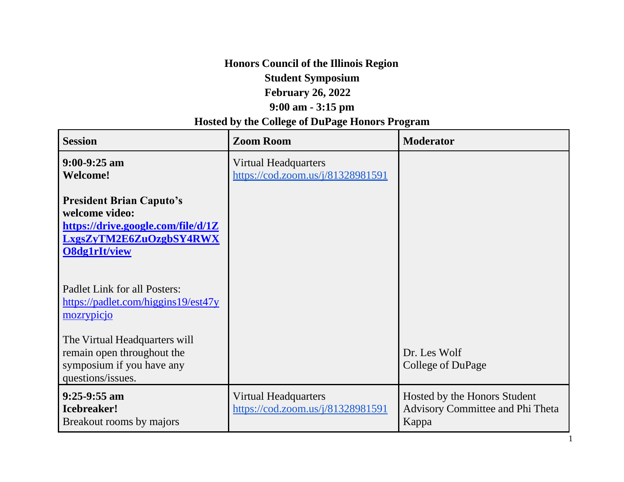# **Honors Council of the Illinois Region Student Symposium February 26, 2022 9:00 am - 3:15 pm**

# **Hosted by the College of DuPage Honors Program**

| <b>Session</b>                                                                                                                             | <b>Zoom Room</b>                                                 | <b>Moderator</b>                                                                 |
|--------------------------------------------------------------------------------------------------------------------------------------------|------------------------------------------------------------------|----------------------------------------------------------------------------------|
| $9:00-9:25$ am<br><b>Welcome!</b>                                                                                                          | <b>Virtual Headquarters</b><br>https://cod.zoom.us/j/81328981591 |                                                                                  |
| <b>President Brian Caputo's</b><br>welcome video:<br>https://drive.google.com/file/d/1Z<br>LxgsZyTM2E6ZuOzgbSY4RWX<br><b>O8dg1rIt/view</b> |                                                                  |                                                                                  |
| Padlet Link for all Posters:<br>https://padlet.com/higgins19/est47y<br>mozrypicjo                                                          |                                                                  |                                                                                  |
| The Virtual Headquarters will<br>remain open throughout the<br>symposium if you have any<br>questions/issues.                              |                                                                  | Dr. Les Wolf<br>College of DuPage                                                |
| $9:25-9:55$ am<br><b>Icebreaker!</b><br>Breakout rooms by majors                                                                           | <b>Virtual Headquarters</b><br>https://cod.zoom.us/j/81328981591 | Hosted by the Honors Student<br><b>Advisory Committee and Phi Theta</b><br>Kappa |

1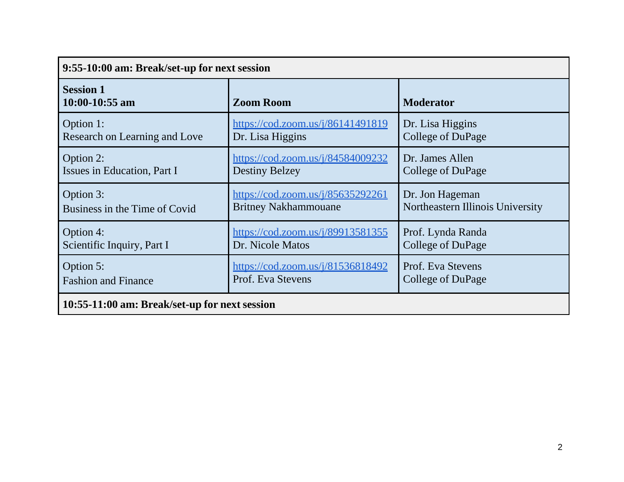| 9:55-10:00 am: Break/set-up for next session  |                                                         |                                  |  |
|-----------------------------------------------|---------------------------------------------------------|----------------------------------|--|
| <b>Session 1</b><br>$10:00-10:55$ am          | <b>Zoom Room</b>                                        | <b>Moderator</b>                 |  |
| Option 1:                                     | https://cod.zoom.us/j/86141491819                       | Dr. Lisa Higgins                 |  |
| Research on Learning and Love                 | Dr. Lisa Higgins                                        | College of DuPage                |  |
| Option 2:                                     | https://cod.zoom.us/j/84584009232                       | Dr. James Allen                  |  |
| Issues in Education, Part I                   | <b>Destiny Belzey</b>                                   | College of DuPage                |  |
| Option 3:                                     | https://cod.zoom.us/j/85635292261                       | Dr. Jon Hageman                  |  |
| Business in the Time of Covid                 | <b>Britney Nakhammouane</b>                             | Northeastern Illinois University |  |
| Option 4:                                     | $\frac{\text{https://cod.zoom.us/j/89913581355}}{2000}$ | Prof. Lynda Randa                |  |
| Scientific Inquiry, Part I                    | Dr. Nicole Matos                                        | College of DuPage                |  |
| Option 5:                                     | $\frac{\text{https://cod.zoom.us/j/81536818492}}{2}$    | Prof. Eva Stevens                |  |
| <b>Fashion and Finance</b>                    | Prof. Eva Stevens                                       | College of DuPage                |  |
| 10:55-11:00 am: Break/set-up for next session |                                                         |                                  |  |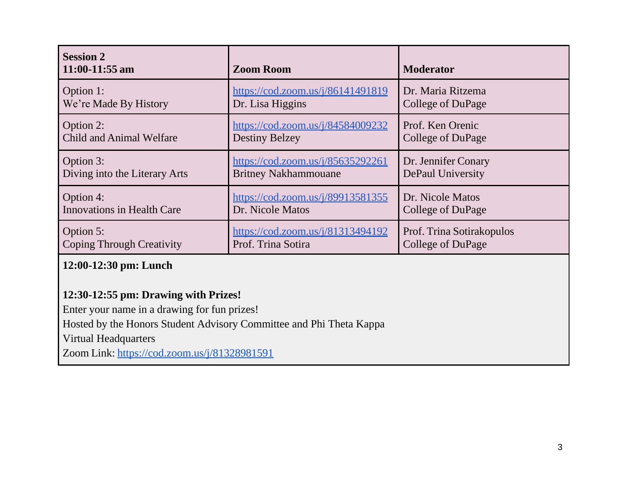| <b>Session 2</b><br>11:00-11:55 am | <b>Zoom Room</b>                  | <b>Moderator</b>          |
|------------------------------------|-----------------------------------|---------------------------|
| Option 1:                          | https://cod.zoom.us/j/86141491819 | Dr. Maria Ritzema         |
| We're Made By History              | Dr. Lisa Higgins                  | College of DuPage         |
| Option 2:                          | https://cod.zoom.us/j/84584009232 | Prof. Ken Orenic          |
| <b>Child and Animal Welfare</b>    | <b>Destiny Belzey</b>             | College of DuPage         |
| Option 3:                          | https://cod.zoom.us/j/85635292261 | Dr. Jennifer Conary       |
| Diving into the Literary Arts      | <b>Britney Nakhammouane</b>       | DePaul University         |
| Option 4:                          | https://cod.zoom.us/j/89913581355 | Dr. Nicole Matos          |
| <b>Innovations in Health Care</b>  | Dr. Nicole Matos                  | College of DuPage         |
| Option 5:                          | https://cod.zoom.us/j/81313494192 | Prof. Trina Sotirakopulos |
| <b>Coping Through Creativity</b>   | Prof. Trina Sotira                | College of DuPage         |

### **12:00-12:30 pm: Lunch**

# **12:30-12:55 pm: Drawing with Prizes!**

Enter your name in a drawing for fun prizes!

Hosted by the Honors Student Advisory Committee and Phi Theta Kappa

Virtual Headquarters

Zoom Link: https://cod.zoom.us/j/81328981591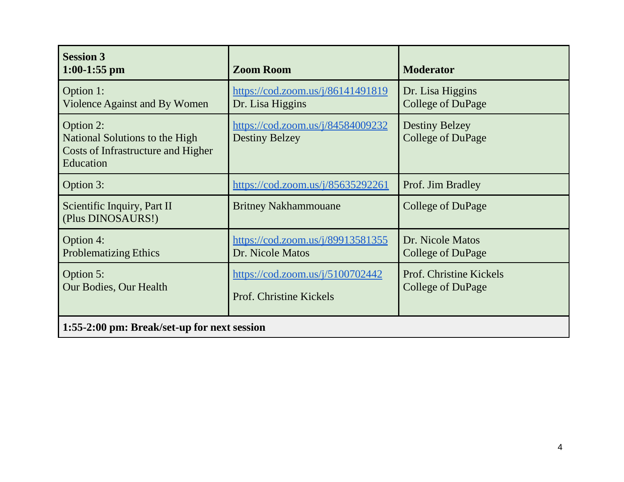| <b>Session 3</b><br>$1:00-1:55$ pm                                                                    | <b>Zoom Room</b>                                                                                  | <b>Moderator</b>                                  |
|-------------------------------------------------------------------------------------------------------|---------------------------------------------------------------------------------------------------|---------------------------------------------------|
| Option 1:<br>Violence Against and By Women                                                            | $\frac{https://cod.zoom.us/j/86141491819}{https://cod.zoom.us/j/86141491819}$<br>Dr. Lisa Higgins | Dr. Lisa Higgins<br><b>College of DuPage</b>      |
| Option 2:<br>National Solutions to the High<br><b>Costs of Infrastructure and Higher</b><br>Education | https://cod.zoom.us/j/84584009232<br><b>Destiny Belzey</b>                                        | <b>Destiny Belzey</b><br><b>College of DuPage</b> |
| Option 3:                                                                                             | https://cod.zoom.us/j/85635292261                                                                 | Prof. Jim Bradley                                 |
| Scientific Inquiry, Part II<br>(Plus DINOSAURS!)                                                      | <b>Britney Nakhammouane</b>                                                                       | College of DuPage                                 |
| Option 4:<br><b>Problematizing Ethics</b>                                                             | https://cod.zoom.us/j/89913581355<br>Dr. Nicole Matos                                             | Dr. Nicole Matos<br>College of DuPage             |
| Option 5:<br>Our Bodies, Our Health                                                                   | https://cod.zoom.us/j/5100702442<br><b>Prof. Christine Kickels</b>                                | Prof. Christine Kickels<br>College of DuPage      |
| 1:55-2:00 pm: Break/set-up for next session                                                           |                                                                                                   |                                                   |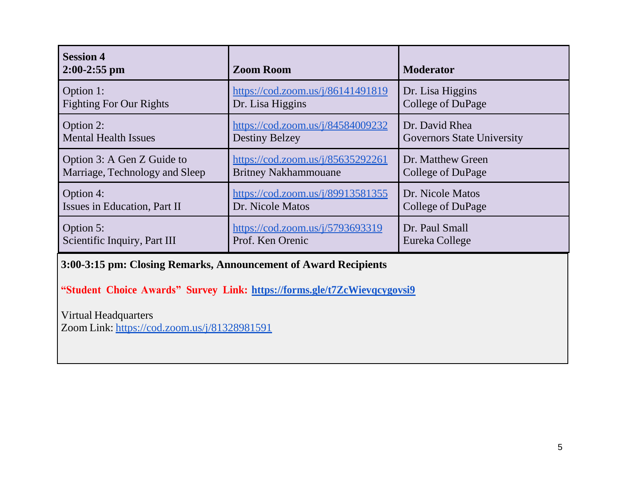| <b>Session 4</b><br>$2:00-2:55$ pm | <b>Zoom Room</b>                  | <b>Moderator</b>                  |
|------------------------------------|-----------------------------------|-----------------------------------|
| Option 1:                          | https://cod.zoom.us/j/86141491819 | Dr. Lisa Higgins                  |
| <b>Fighting For Our Rights</b>     | Dr. Lisa Higgins                  | College of DuPage                 |
| Option 2:                          | https://cod.zoom.us/j/84584009232 | Dr. David Rhea                    |
| <b>Mental Health Issues</b>        | <b>Destiny Belzey</b>             | <b>Governors State University</b> |
| Option 3: A Gen Z Guide to         | https://cod.zoom.us/j/85635292261 | Dr. Matthew Green                 |
| Marriage, Technology and Sleep     | <b>Britney Nakhammouane</b>       | College of DuPage                 |
| Option 4:                          | https://cod.zoom.us/j/89913581355 | Dr. Nicole Matos                  |
| Issues in Education, Part II       | Dr. Nicole Matos                  | College of DuPage                 |
| Option 5:                          | https://cod.zoom.us/j/5793693319  | Dr. Paul Small                    |
| Scientific Inquiry, Part III       | Prof. Ken Orenic                  | Eureka College                    |

**3:00-3:15 pm: Closing Remarks, Announcement of Award Recipients**

**"Student Choice Awards" Survey Link: https://forms.gle/t7ZcWievqcygovsi9**

Virtual Headquarters

Zoom Link: https://cod.zoom.us/j/81328981591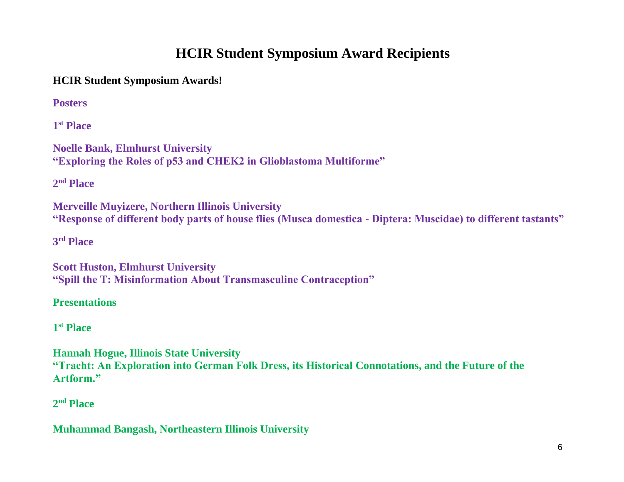# **HCIR Student Symposium Award Recipients**

**HCIR Student Symposium Awards!**

**Posters**

**1 st Place**

**Noelle Bank, Elmhurst University "Exploring the Roles of p53 and CHEK2 in Glioblastoma Multiforme"**

**2 nd Place**

**Merveille Muyizere, Northern Illinois University "Response of different body parts of house flies (Musca domestica - Diptera: Muscidae) to different tastants"**

**3 rd Place**

**Scott Huston, Elmhurst University "Spill the T: Misinformation About Transmasculine Contraception"**

**Presentations**

**1 st Place**

**Hannah Hogue, Illinois State University "Tracht: An Exploration into German Folk Dress, its Historical Connotations, and the Future of the Artform."**

**2 nd Place**

**Muhammad Bangash, Northeastern Illinois University**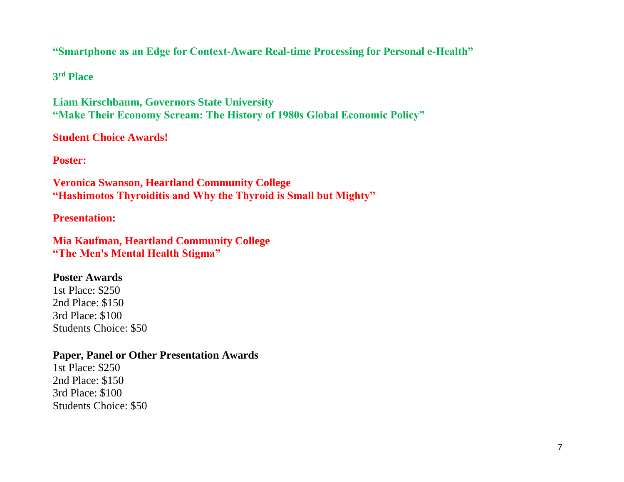### **"Smartphone as an Edge for Context-Aware Real-time Processing for Personal e-Health"**

**3 rd Place**

**Liam Kirschbaum, Governors State University "Make Their Economy Scream: The History of 1980s Global Economic Policy"**

**Student Choice Awards!**

**Poster:** 

**Veronica Swanson, Heartland Community College "Hashimotos Thyroiditis and Why the Thyroid is Small but Mighty"**

**Presentation:**

**Mia Kaufman, Heartland Community College "The Men's Mental Health Stigma"**

#### **Poster Awards**

1st Place: \$250 2nd Place: \$150 3rd Place: \$100 Students Choice: \$50

#### **Paper, Panel or Other Presentation Awards**

1st Place: \$250 2nd Place: \$150 3rd Place: \$100 Students Choice: \$50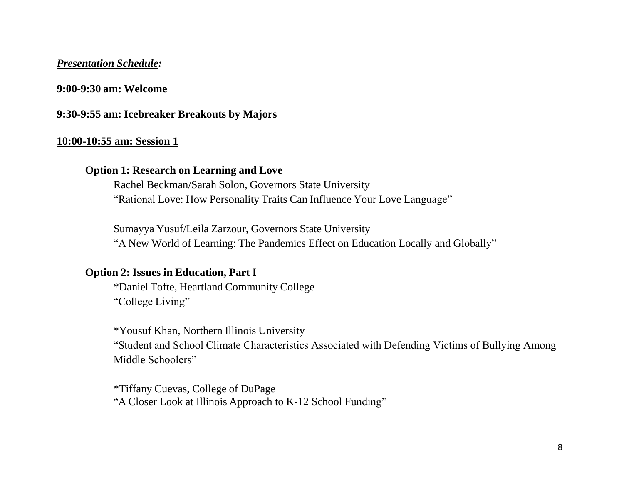#### *Presentation Schedule:*

#### **9:00-9:30 am: Welcome**

#### **9:30-9:55 am: Icebreaker Breakouts by Majors**

#### **10:00-10:55 am: Session 1**

### **Option 1: Research on Learning and Love**

Rachel Beckman/Sarah Solon, Governors State University "Rational Love: How Personality Traits Can Influence Your Love Language"

Sumayya Yusuf/Leila Zarzour, Governors State University "A New World of Learning: The Pandemics Effect on Education Locally and Globally"

#### **Option 2: Issues in Education, Part I**

\*Daniel Tofte, Heartland Community College "College Living"

\*Yousuf Khan, Northern Illinois University "Student and School Climate Characteristics Associated with Defending Victims of Bullying Among Middle Schoolers"

\*Tiffany Cuevas, College of DuPage "A Closer Look at Illinois Approach to K-12 School Funding"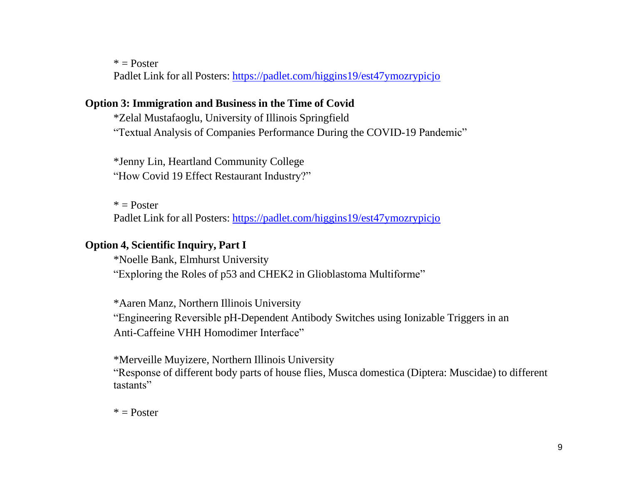$*$  = Poster

Padlet Link for all Posters: <https://padlet.com/higgins19/est47ymozrypicjo>

### **Option 3: Immigration and Business in the Time of Covid**

\*Zelal Mustafaoglu, University of Illinois Springfield "Textual Analysis of Companies Performance During the COVID-19 Pandemic"

\*Jenny Lin, Heartland Community College "How Covid 19 Effect Restaurant Industry?"

 $*$  = Poster

Padlet Link for all Posters: <https://padlet.com/higgins19/est47ymozrypicjo>

### **Option 4, Scientific Inquiry, Part I**

\*Noelle Bank, Elmhurst University "Exploring the Roles of p53 and CHEK2 in Glioblastoma Multiforme"

\*Aaren Manz, Northern Illinois University "Engineering Reversible pH-Dependent Antibody Switches using Ionizable Triggers in an Anti-Caffeine VHH Homodimer Interface"

\*Merveille Muyizere, Northern Illinois University "Response of different body parts of house flies, Musca domestica (Diptera: Muscidae) to different tastants"

 $*$  = Poster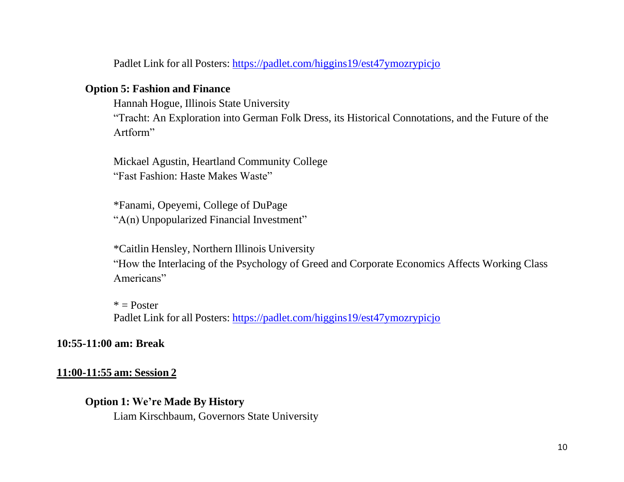Padlet Link for all Posters: <https://padlet.com/higgins19/est47ymozrypicjo>

#### **Option 5: Fashion and Finance**

Hannah Hogue, Illinois State University

"Tracht: An Exploration into German Folk Dress, its Historical Connotations, and the Future of the Artform"

Mickael Agustin, Heartland Community College "Fast Fashion: Haste Makes Waste"

\*Fanami, Opeyemi, College of DuPage "A(n) Unpopularized Financial Investment"

\*Caitlin Hensley, Northern Illinois University "How the Interlacing of the Psychology of Greed and Corporate Economics Affects Working Class Americans"

 $*$  = Poster Padlet Link for all Posters: <https://padlet.com/higgins19/est47ymozrypicjo>

#### **10:55-11:00 am: Break**

#### **11:00-11:55 am: Session 2**

#### **Option 1: We're Made By History**

Liam Kirschbaum, Governors State University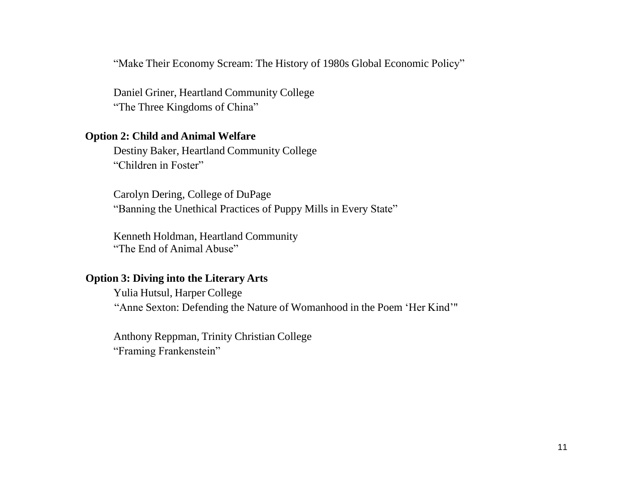"Make Their Economy Scream: The History of 1980s Global Economic Policy"

Daniel Griner, Heartland Community College "The Three Kingdoms of China"

#### **Option 2: Child and Animal Welfare**

Destiny Baker, Heartland Community College "Children in Foster"

Carolyn Dering, College of DuPage "Banning the Unethical Practices of Puppy Mills in Every State"

Kenneth Holdman, Heartland Community "The End of Animal Abuse"

#### **Option 3: Diving into the Literary Arts**

Yulia Hutsul, Harper College "Anne Sexton: Defending the Nature of Womanhood in the Poem 'Her Kind'"

Anthony Reppman, Trinity Christian College "Framing Frankenstein"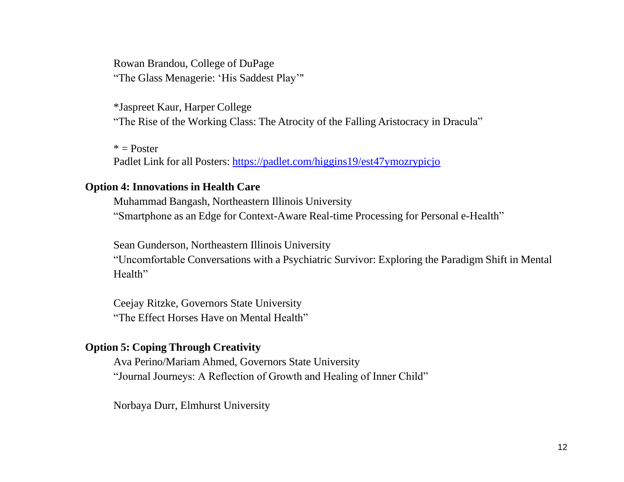Rowan Brandou, College of DuPage "The Glass Menagerie: 'His Saddest Play'"

\*Jaspreet Kaur, Harper College "The Rise of the Working Class: The Atrocity of the Falling Aristocracy in Dracula"

 $*$  = Poster Padlet Link for all Posters: <https://padlet.com/higgins19/est47ymozrypicjo>

#### **Option 4: Innovations in Health Care**

Muhammad Bangash, Northeastern Illinois University "Smartphone as an Edge for Context-Aware Real-time Processing for Personal e-Health"

Sean Gunderson, Northeastern Illinois University "Uncomfortable Conversations with a Psychiatric Survivor: Exploring the Paradigm Shift in Mental Health"

Ceejay Ritzke, Governors State University "The Effect Horses Have on Mental Health"

#### **Option 5: Coping Through Creativity**

Ava Perino/Mariam Ahmed, Governors State University "Journal Journeys: A Reflection of Growth and Healing of Inner Child"

Norbaya Durr, Elmhurst University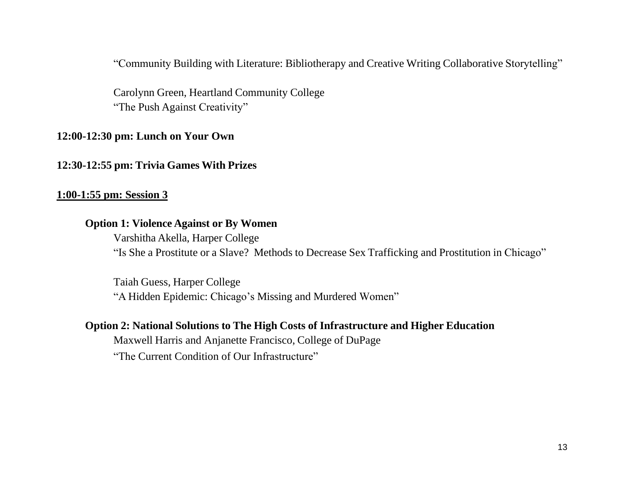"Community Building with Literature: Bibliotherapy and Creative Writing Collaborative Storytelling"

Carolynn Green, Heartland Community College "The Push Against Creativity"

#### **12:00-12:30 pm: Lunch on Your Own**

#### **12:30-12:55 pm: Trivia Games With Prizes**

#### **1:00-1:55 pm: Session 3**

### **Option 1: Violence Against or By Women**

Varshitha Akella, Harper College "Is She a Prostitute or a Slave? Methods to Decrease Sex Trafficking and Prostitution in Chicago"

Taiah Guess, Harper College "A Hidden Epidemic: Chicago's Missing and Murdered Women"

#### **Option 2: National Solutions to The High Costs of Infrastructure and Higher Education**

Maxwell Harris and Anjanette Francisco, College of DuPage

"The Current Condition of Our Infrastructure"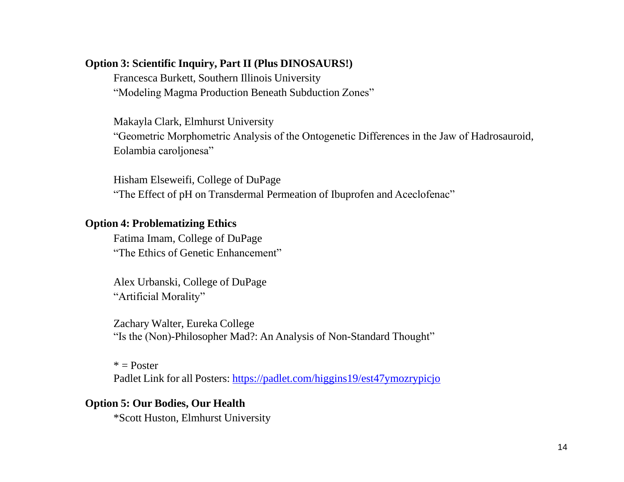#### **Option 3: Scientific Inquiry, Part II (Plus DINOSAURS!)**

Francesca Burkett, Southern Illinois University "Modeling Magma Production Beneath Subduction Zones"

Makayla Clark, Elmhurst University "Geometric Morphometric Analysis of the Ontogenetic Differences in the Jaw of Hadrosauroid, Eolambia caroljonesa"

Hisham Elseweifi, College of DuPage "The Effect of pH on Transdermal Permeation of Ibuprofen and Aceclofenac"

### **Option 4: Problematizing Ethics**

Fatima Imam, College of DuPage "The Ethics of Genetic Enhancement"

Alex Urbanski, College of DuPage "Artificial Morality"

Zachary Walter, Eureka College "Is the (Non)-Philosopher Mad?: An Analysis of Non-Standard Thought"

 $*$  = Poster Padlet Link for all Posters: <https://padlet.com/higgins19/est47ymozrypicjo>

### **Option 5: Our Bodies, Our Health**

\*Scott Huston, Elmhurst University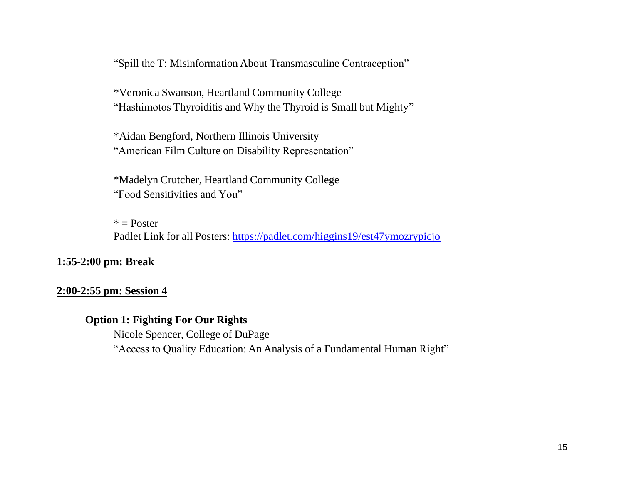"Spill the T: Misinformation About Transmasculine Contraception"

\*Veronica Swanson, Heartland Community College "Hashimotos Thyroiditis and Why the Thyroid is Small but Mighty"

\*Aidan Bengford, Northern Illinois University "American Film Culture on Disability Representation"

\*Madelyn Crutcher, Heartland Community College "Food Sensitivities and You"

 $*$  = Poster Padlet Link for all Posters: <https://padlet.com/higgins19/est47ymozrypicjo>

#### **1:55-2:00 pm: Break**

#### **2:00-2:55 pm: Session 4**

### **Option 1: Fighting For Our Rights**

Nicole Spencer, College of DuPage "Access to Quality Education: An Analysis of a Fundamental Human Right"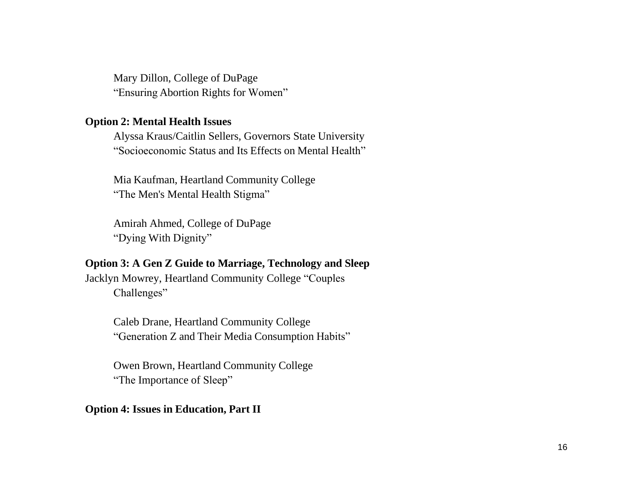Mary Dillon, College of DuPage "Ensuring Abortion Rights for Women"

#### **Option 2: Mental Health Issues**

Alyssa Kraus/Caitlin Sellers, Governors State University "Socioeconomic Status and Its Effects on Mental Health"

Mia Kaufman, Heartland Community College "The Men's Mental Health Stigma"

Amirah Ahmed, College of DuPage "Dying With Dignity"

#### **Option 3: A Gen Z Guide to Marriage, Technology and Sleep**

Jacklyn Mowrey, Heartland Community College "Couples Challenges"

> Caleb Drane, Heartland Community College "Generation Z and Their Media Consumption Habits"

Owen Brown, Heartland Community College "The Importance of Sleep"

#### **Option 4: Issues in Education, Part II**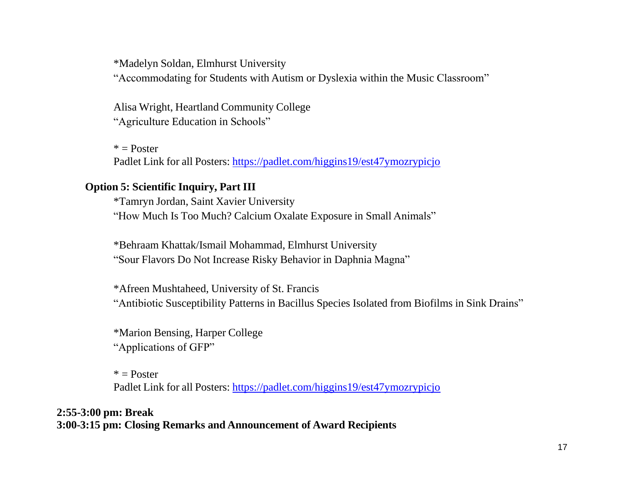\*Madelyn Soldan, Elmhurst University

"Accommodating for Students with Autism or Dyslexia within the Music Classroom"

Alisa Wright, Heartland Community College "Agriculture Education in Schools"

 $*$  = Poster Padlet Link for all Posters: <https://padlet.com/higgins19/est47ymozrypicjo>

#### **Option 5: Scientific Inquiry, Part III**

\*Tamryn Jordan, Saint Xavier University "How Much Is Too Much? Calcium Oxalate Exposure in Small Animals"

\*Behraam Khattak/Ismail Mohammad, Elmhurst University "Sour Flavors Do Not Increase Risky Behavior in Daphnia Magna"

\*Afreen Mushtaheed, University of St. Francis "Antibiotic Susceptibility Patterns in Bacillus Species Isolated from Biofilms in Sink Drains"

\*Marion Bensing, Harper College "Applications of GFP"

 $*$  = Poster Padlet Link for all Posters: <https://padlet.com/higgins19/est47ymozrypicjo>

**2:55-3:00 pm: Break 3:00-3:15 pm: Closing Remarks and Announcement of Award Recipients**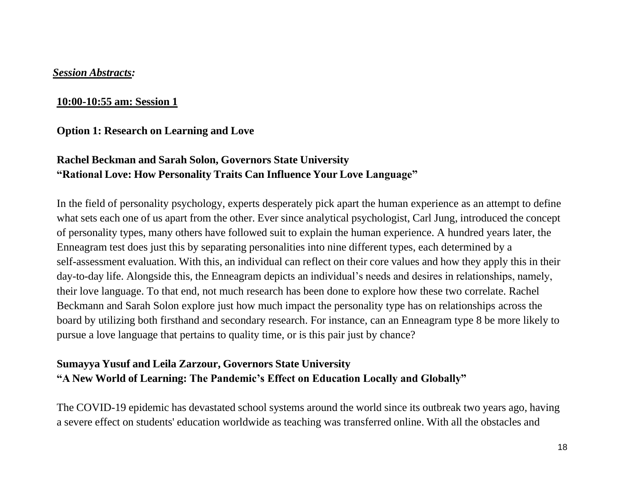#### *Session Abstracts:*

### **10:00-10:55 am: Session 1**

### **Option 1: Research on Learning and Love**

## **Rachel Beckman and Sarah Solon, Governors State University "Rational Love: How Personality Traits Can Influence Your Love Language"**

In the field of personality psychology, experts desperately pick apart the human experience as an attempt to define what sets each one of us apart from the other. Ever since analytical psychologist, Carl Jung, introduced the concept of personality types, many others have followed suit to explain the human experience. A hundred years later, the Enneagram test does just this by separating personalities into nine different types, each determined by a self-assessment evaluation. With this, an individual can reflect on their core values and how they apply this in their day-to-day life. Alongside this, the Enneagram depicts an individual's needs and desires in relationships, namely, their love language. To that end, not much research has been done to explore how these two correlate. Rachel Beckmann and Sarah Solon explore just how much impact the personality type has on relationships across the board by utilizing both firsthand and secondary research. For instance, can an Enneagram type 8 be more likely to pursue a love language that pertains to quality time, or is this pair just by chance?

### **Sumayya Yusuf and Leila Zarzour, Governors State University "A New World of Learning: The Pandemic's Effect on Education Locally and Globally"**

The COVID-19 epidemic has devastated school systems around the world since its outbreak two years ago, having a severe effect on students' education worldwide as teaching was transferred online. With all the obstacles and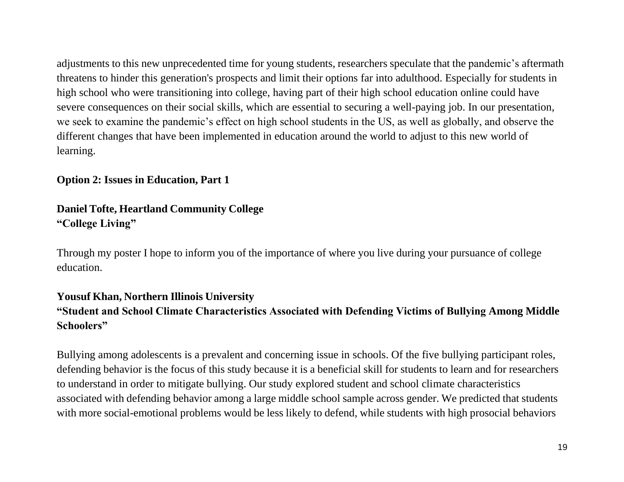adjustments to this new unprecedented time for young students, researchers speculate that the pandemic's aftermath threatens to hinder this generation's prospects and limit their options far into adulthood. Especially for students in high school who were transitioning into college, having part of their high school education online could have severe consequences on their social skills, which are essential to securing a well-paying job. In our presentation, we seek to examine the pandemic's effect on high school students in the US, as well as globally, and observe the different changes that have been implemented in education around the world to adjust to this new world of learning.

### **Option 2: Issues in Education, Part 1**

## **Daniel Tofte, Heartland Community College "College Living"**

Through my poster I hope to inform you of the importance of where you live during your pursuance of college education.

### **Yousuf Khan, Northern Illinois University**

## **"Student and School Climate Characteristics Associated with Defending Victims of Bullying Among Middle Schoolers"**

Bullying among adolescents is a prevalent and concerning issue in schools. Of the five bullying participant roles, defending behavior is the focus of this study because it is a beneficial skill for students to learn and for researchers to understand in order to mitigate bullying. Our study explored student and school climate characteristics associated with defending behavior among a large middle school sample across gender. We predicted that students with more social-emotional problems would be less likely to defend, while students with high prosocial behaviors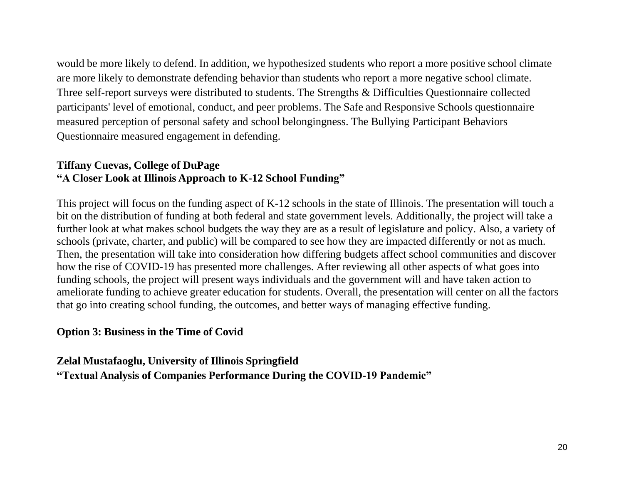would be more likely to defend. In addition, we hypothesized students who report a more positive school climate are more likely to demonstrate defending behavior than students who report a more negative school climate. Three self-report surveys were distributed to students. The Strengths & Difficulties Questionnaire collected participants' level of emotional, conduct, and peer problems. The Safe and Responsive Schools questionnaire measured perception of personal safety and school belongingness. The Bullying Participant Behaviors Questionnaire measured engagement in defending.

### **Tiffany Cuevas, College of DuPage "A Closer Look at Illinois Approach to K-12 School Funding"**

This project will focus on the funding aspect of K-12 schools in the state of Illinois. The presentation will touch a bit on the distribution of funding at both federal and state government levels. Additionally, the project will take a further look at what makes school budgets the way they are as a result of legislature and policy. Also, a variety of schools (private, charter, and public) will be compared to see how they are impacted differently or not as much. Then, the presentation will take into consideration how differing budgets affect school communities and discover how the rise of COVID-19 has presented more challenges. After reviewing all other aspects of what goes into funding schools, the project will present ways individuals and the government will and have taken action to ameliorate funding to achieve greater education for students. Overall, the presentation will center on all the factors that go into creating school funding, the outcomes, and better ways of managing effective funding.

### **Option 3: Business in the Time of Covid**

**Zelal Mustafaoglu, University of Illinois Springfield**

**"Textual Analysis of Companies Performance During the COVID-19 Pandemic"**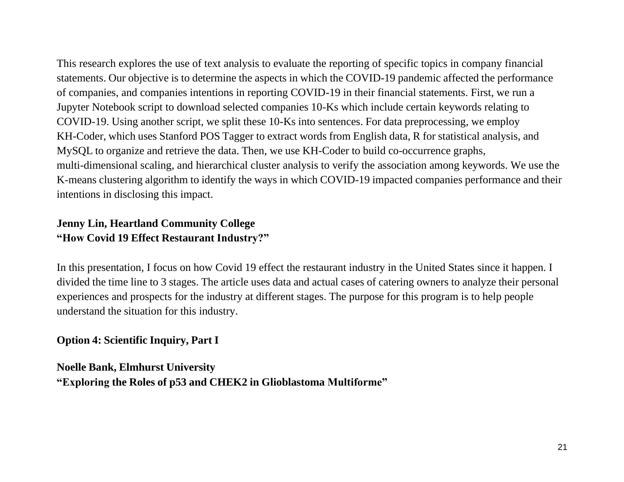This research explores the use of text analysis to evaluate the reporting of specific topics in company financial statements. Our objective is to determine the aspects in which the COVID-19 pandemic affected the performance of companies, and companies intentions in reporting COVID-19 in their financial statements. First, we run a Jupyter Notebook script to download selected companies 10-Ks which include certain keywords relating to COVID-19. Using another script, we split these 10-Ks into sentences. For data preprocessing, we employ KH-Coder, which uses Stanford POS Tagger to extract words from English data, R for statistical analysis, and MySQL to organize and retrieve the data. Then, we use KH-Coder to build co-occurrence graphs, multi-dimensional scaling, and hierarchical cluster analysis to verify the association among keywords. We use the K-means clustering algorithm to identify the ways in which COVID-19 impacted companies performance and their intentions in disclosing this impact.

## **Jenny Lin, Heartland Community College "How Covid 19 Effect Restaurant Industry?"**

In this presentation, I focus on how Covid 19 effect the restaurant industry in the United States since it happen. I divided the time line to 3 stages. The article uses data and actual cases of catering owners to analyze their personal experiences and prospects for the industry at different stages. The purpose for this program is to help people understand the situation for this industry.

**Option 4: Scientific Inquiry, Part I**

**Noelle Bank, Elmhurst University "Exploring the Roles of p53 and CHEK2 in Glioblastoma Multiforme"**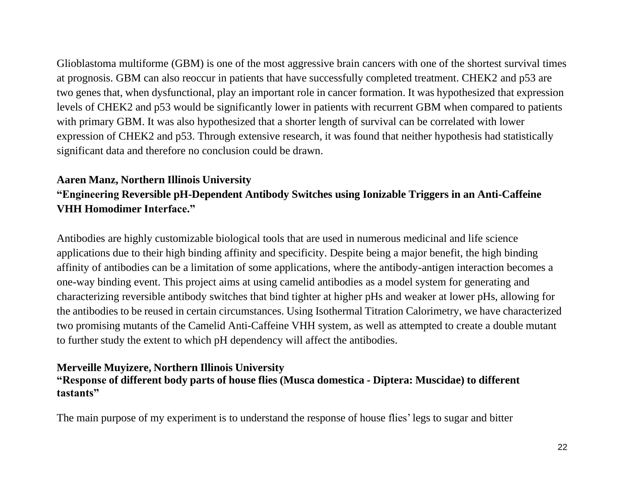Glioblastoma multiforme (GBM) is one of the most aggressive brain cancers with one of the shortest survival times at prognosis. GBM can also reoccur in patients that have successfully completed treatment. CHEK2 and p53 are two genes that, when dysfunctional, play an important role in cancer formation. It was hypothesized that expression levels of CHEK2 and p53 would be significantly lower in patients with recurrent GBM when compared to patients with primary GBM. It was also hypothesized that a shorter length of survival can be correlated with lower expression of CHEK2 and p53. Through extensive research, it was found that neither hypothesis had statistically significant data and therefore no conclusion could be drawn.

## **Aaren Manz, Northern Illinois University "Engineering Reversible pH-Dependent Antibody Switches using Ionizable Triggers in an Anti-Caffeine VHH Homodimer Interface."**

Antibodies are highly customizable biological tools that are used in numerous medicinal and life science applications due to their high binding affinity and specificity. Despite being a major benefit, the high binding affinity of antibodies can be a limitation of some applications, where the antibody-antigen interaction becomes a one-way binding event. This project aims at using camelid antibodies as a model system for generating and characterizing reversible antibody switches that bind tighter at higher pHs and weaker at lower pHs, allowing for the antibodies to be reused in certain circumstances. Using Isothermal Titration Calorimetry, we have characterized two promising mutants of the Camelid Anti-Caffeine VHH system, as well as attempted to create a double mutant to further study the extent to which pH dependency will affect the antibodies.

#### **Merveille Muyizere, Northern Illinois University "Response of different body parts of house flies (Musca domestica - Diptera: Muscidae) to different tastants"**

The main purpose of my experiment is to understand the response of house flies'legs to sugar and bitter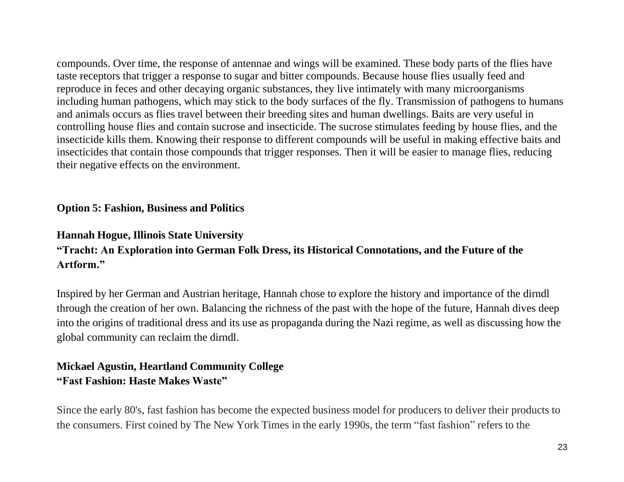compounds. Over time, the response of antennae and wings will be examined. These body parts of the flies have taste receptors that trigger a response to sugar and bitter compounds. Because house flies usually feed and reproduce in feces and other decaying organic substances, they live intimately with many microorganisms including human pathogens, which may stick to the body surfaces of the fly. Transmission of pathogens to humans and animals occurs as flies travel between their breeding sites and human dwellings. Baits are very useful in controlling house flies and contain sucrose and insecticide. The sucrose stimulates feeding by house flies, and the insecticide kills them. Knowing their response to different compounds will be useful in making effective baits and insecticides that contain those compounds that trigger responses. Then it will be easier to manage flies, reducing their negative effects on the environment.

### **Option 5: Fashion, Business and Politics**

### **Hannah Hogue, Illinois State University**

### **"Tracht: An Exploration into German Folk Dress, its Historical Connotations, and the Future of the Artform."**

Inspired by her German and Austrian heritage, Hannah chose to explore the history and importance of the dirndl through the creation of her own. Balancing the richness of the past with the hope of the future, Hannah dives deep into the origins of traditional dress and its use as propaganda during the Nazi regime, as well as discussing how the global community can reclaim the dirndl.

## **Mickael Agustin, Heartland Community College "Fast Fashion: Haste Makes Waste"**

Since the early 80's, fast fashion has become the expected business model for producers to deliver their products to the consumers. First coined by The New York Times in the early 1990s, the term "fast fashion" refers to the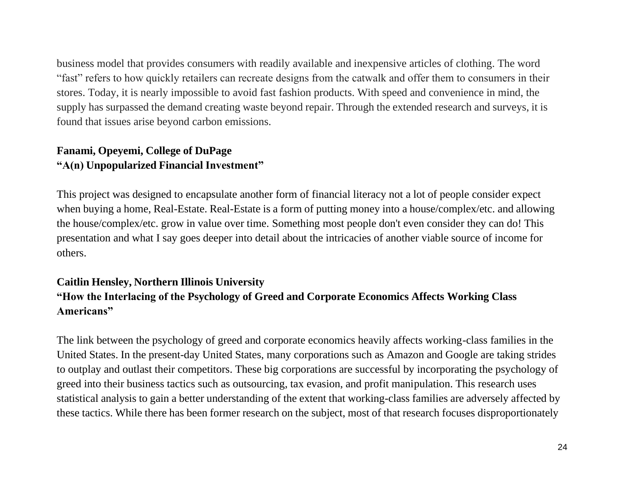business model that provides consumers with readily available and inexpensive articles of clothing. The word "fast" refers to how quickly retailers can recreate designs from the catwalk and offer them to consumers in their stores. Today, it is nearly impossible to avoid fast fashion products. With speed and convenience in mind, the supply has surpassed the demand creating waste beyond repair. Through the extended research and surveys, it is found that issues arise beyond carbon emissions.

### **Fanami, Opeyemi, College of DuPage "A(n) Unpopularized Financial Investment"**

This project was designed to encapsulate another form of financial literacy not a lot of people consider expect when buying a home, Real-Estate. Real-Estate is a form of putting money into a house/complex/etc. and allowing the house/complex/etc. grow in value over time. Something most people don't even consider they can do! This presentation and what I say goes deeper into detail about the intricacies of another viable source of income for others.

## **Caitlin Hensley, Northern Illinois University "How the Interlacing of the Psychology of Greed and Corporate Economics Affects Working Class Americans"**

The link between the psychology of greed and corporate economics heavily affects working-class families in the United States. In the present-day United States, many corporations such as Amazon and Google are taking strides to outplay and outlast their competitors. These big corporations are successful by incorporating the psychology of greed into their business tactics such as outsourcing, tax evasion, and profit manipulation. This research uses statistical analysis to gain a better understanding of the extent that working-class families are adversely affected by these tactics. While there has been former research on the subject, most of that research focuses disproportionately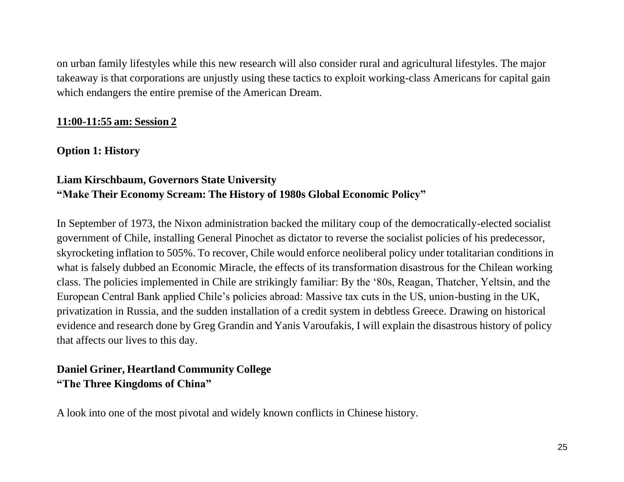on urban family lifestyles while this new research will also consider rural and agricultural lifestyles. The major takeaway is that corporations are unjustly using these tactics to exploit working-class Americans for capital gain which endangers the entire premise of the American Dream.

### **11:00-11:55 am: Session 2**

**Option 1: History**

## **Liam Kirschbaum, Governors State University "Make Their Economy Scream: The History of 1980s Global Economic Policy"**

In September of 1973, the Nixon administration backed the military coup of the democratically-elected socialist government of Chile, installing General Pinochet as dictator to reverse the socialist policies of his predecessor, skyrocketing inflation to 505%. To recover, Chile would enforce neoliberal policy under totalitarian conditions in what is falsely dubbed an Economic Miracle, the effects of its transformation disastrous for the Chilean working class. The policies implemented in Chile are strikingly familiar: By the '80s, Reagan, Thatcher, Yeltsin, and the European Central Bank applied Chile's policies abroad: Massive tax cuts in the US, union-busting in the UK, privatization in Russia, and the sudden installation of a credit system in debtless Greece. Drawing on historical evidence and research done by Greg Grandin and Yanis Varoufakis, I will explain the disastrous history of policy that affects our lives to this day.

## **Daniel Griner, Heartland Community College "The Three Kingdoms of China"**

A look into one of the most pivotal and widely known conflicts in Chinese history.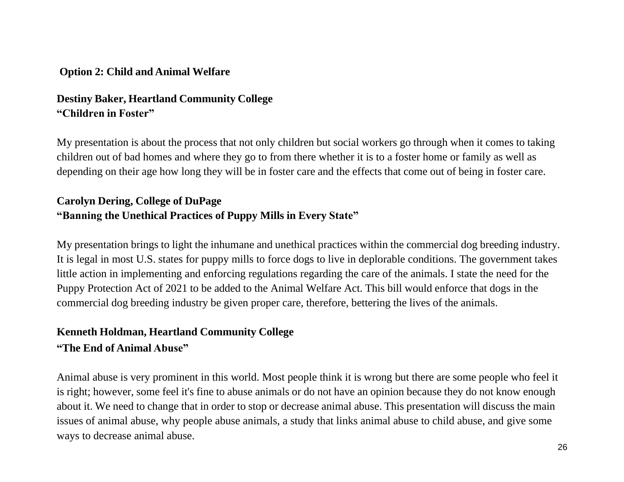### **Option 2: Child and Animal Welfare**

## **Destiny Baker, Heartland Community College "Children in Foster"**

My presentation is about the process that not only children but social workers go through when it comes to taking children out of bad homes and where they go to from there whether it is to a foster home or family as well as depending on their age how long they will be in foster care and the effects that come out of being in foster care.

## **Carolyn Dering, College of DuPage "Banning the Unethical Practices of Puppy Mills in Every State"**

My presentation brings to light the inhumane and unethical practices within the commercial dog breeding industry. It is legal in most U.S. states for puppy mills to force dogs to live in deplorable conditions. The government takes little action in implementing and enforcing regulations regarding the care of the animals. I state the need for the Puppy Protection Act of 2021 to be added to the Animal Welfare Act. This bill would enforce that dogs in the commercial dog breeding industry be given proper care, therefore, bettering the lives of the animals.

## **Kenneth Holdman, Heartland Community College "The End of Animal Abuse"**

Animal abuse is very prominent in this world. Most people think it is wrong but there are some people who feel it is right; however, some feel it's fine to abuse animals or do not have an opinion because they do not know enough about it. We need to change that in order to stop or decrease animal abuse. This presentation will discuss the main issues of animal abuse, why people abuse animals, a study that links animal abuse to child abuse, and give some ways to decrease animal abuse.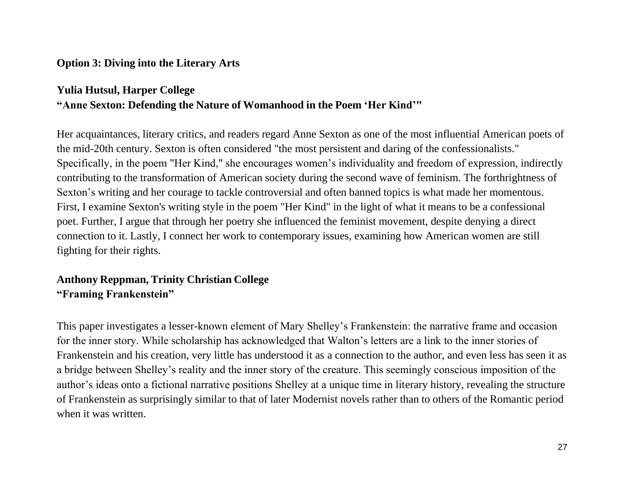### **Option 3: Diving into the Literary Arts**

## **Yulia Hutsul, Harper College "Anne Sexton: Defending the Nature of Womanhood in the Poem 'Her Kind'"**

Her acquaintances, literary critics, and readers regard Anne Sexton as one of the most influential American poets of the mid-20th century. Sexton is often considered "the most persistent and daring of the confessionalists." Specifically, in the poem "Her Kind," she encourages women's individuality and freedom of expression, indirectly contributing to the transformation of American society during the second wave of feminism. The forthrightness of Sexton's writing and her courage to tackle controversial and often banned topics is what made her momentous. First, I examine Sexton's writing style in the poem "Her Kind" in the light of what it means to be a confessional poet. Further, I argue that through her poetry she influenced the feminist movement, despite denying a direct connection to it. Lastly, I connect her work to contemporary issues, examining how American women are still fighting for their rights.

## **Anthony Reppman, Trinity Christian College "Framing Frankenstein"**

This paper investigates a lesser-known element of Mary Shelley's Frankenstein: the narrative frame and occasion for the inner story. While scholarship has acknowledged that Walton's letters are a link to the inner stories of Frankenstein and his creation, very little has understood it as a connection to the author, and even less has seen it as a bridge between Shelley's reality and the inner story of the creature. This seemingly conscious imposition of the author's ideas onto a fictional narrative positions Shelley at a unique time in literary history, revealing the structure of Frankenstein as surprisingly similar to that of later Modernist novels rather than to others of the Romantic period when it was written.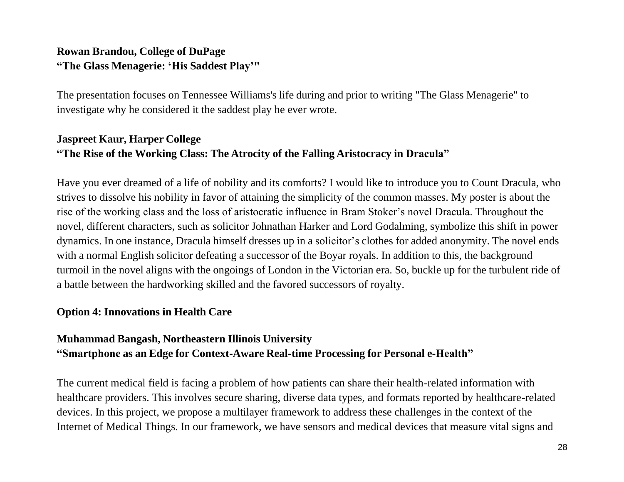## **Rowan Brandou, College of DuPage "The Glass Menagerie: 'His Saddest Play'"**

The presentation focuses on Tennessee Williams's life during and prior to writing "The Glass Menagerie" to investigate why he considered it the saddest play he ever wrote.

### **Jaspreet Kaur, Harper College "The Rise of the Working Class: The Atrocity of the Falling Aristocracy in Dracula"**

Have you ever dreamed of a life of nobility and its comforts? I would like to introduce you to Count Dracula, who strives to dissolve his nobility in favor of attaining the simplicity of the common masses. My poster is about the rise of the working class and the loss of aristocratic influence in Bram Stoker's novel Dracula. Throughout the novel, different characters, such as solicitor Johnathan Harker and Lord Godalming, symbolize this shift in power dynamics. In one instance, Dracula himself dresses up in a solicitor's clothes for added anonymity. The novel ends with a normal English solicitor defeating a successor of the Boyar royals. In addition to this, the background turmoil in the novel aligns with the ongoings of London in the Victorian era. So, buckle up for the turbulent ride of a battle between the hardworking skilled and the favored successors of royalty.

### **Option 4: Innovations in Health Care**

## **Muhammad Bangash, Northeastern Illinois University "Smartphone as an Edge for Context-Aware Real-time Processing for Personal e-Health"**

The current medical field is facing a problem of how patients can share their health-related information with healthcare providers. This involves secure sharing, diverse data types, and formats reported by healthcare-related devices. In this project, we propose a multilayer framework to address these challenges in the context of the Internet of Medical Things. In our framework, we have sensors and medical devices that measure vital signs and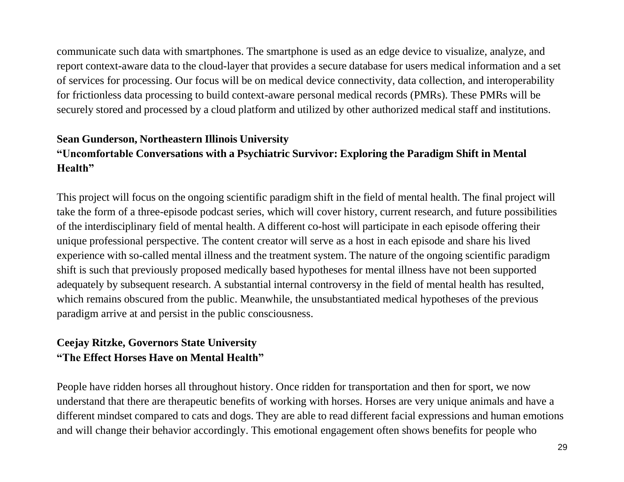communicate such data with smartphones. The smartphone is used as an edge device to visualize, analyze, and report context-aware data to the cloud-layer that provides a secure database for users medical information and a set of services for processing. Our focus will be on medical device connectivity, data collection, and interoperability for frictionless data processing to build context-aware personal medical records (PMRs). These PMRs will be securely stored and processed by a cloud platform and utilized by other authorized medical staff and institutions.

## **Sean Gunderson, Northeastern Illinois University "Uncomfortable Conversations with a Psychiatric Survivor: Exploring the Paradigm Shift in Mental Health"**

This project will focus on the ongoing scientific paradigm shift in the field of mental health. The final project will take the form of a three-episode podcast series, which will cover history, current research, and future possibilities of the interdisciplinary field of mental health. A different co-host will participate in each episode offering their unique professional perspective. The content creator will serve as a host in each episode and share his lived experience with so-called mental illness and the treatment system. The nature of the ongoing scientific paradigm shift is such that previously proposed medically based hypotheses for mental illness have not been supported adequately by subsequent research. A substantial internal controversy in the field of mental health has resulted, which remains obscured from the public. Meanwhile, the unsubstantiated medical hypotheses of the previous paradigm arrive at and persist in the public consciousness.

## **Ceejay Ritzke, Governors State University "The Effect Horses Have on Mental Health"**

People have ridden horses all throughout history. Once ridden for transportation and then for sport, we now understand that there are therapeutic benefits of working with horses. Horses are very unique animals and have a different mindset compared to cats and dogs. They are able to read different facial expressions and human emotions and will change their behavior accordingly. This emotional engagement often shows benefits for people who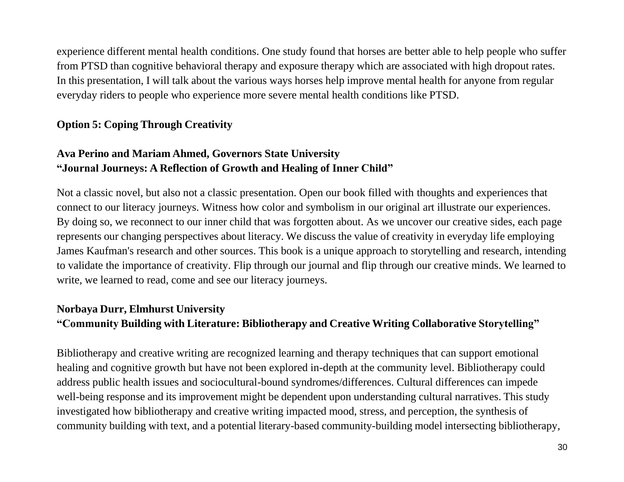experience different mental health conditions. One study found that horses are better able to help people who suffer from PTSD than cognitive behavioral therapy and exposure therapy which are associated with high dropout rates. In this presentation, I will talk about the various ways horses help improve mental health for anyone from regular everyday riders to people who experience more severe mental health conditions like PTSD.

### **Option 5: Coping Through Creativity**

## **Ava Perino and Mariam Ahmed, Governors State University "Journal Journeys: A Reflection of Growth and Healing of Inner Child"**

Not a classic novel, but also not a classic presentation. Open our book filled with thoughts and experiences that connect to our literacy journeys. Witness how color and symbolism in our original art illustrate our experiences. By doing so, we reconnect to our inner child that was forgotten about. As we uncover our creative sides, each page represents our changing perspectives about literacy. We discuss the value of creativity in everyday life employing James Kaufman's research and other sources. This book is a unique approach to storytelling and research, intending to validate the importance of creativity. Flip through our journal and flip through our creative minds. We learned to write, we learned to read, come and see our literacy journeys.

#### **Norbaya Durr, Elmhurst University**

### **"Community Building with Literature: Bibliotherapy and Creative Writing Collaborative Storytelling"**

Bibliotherapy and creative writing are recognized learning and therapy techniques that can support emotional healing and cognitive growth but have not been explored in-depth at the community level. Bibliotherapy could address public health issues and sociocultural-bound syndromes/differences. Cultural differences can impede well-being response and its improvement might be dependent upon understanding cultural narratives. This study investigated how bibliotherapy and creative writing impacted mood, stress, and perception, the synthesis of community building with text, and a potential literary-based community-building model intersecting bibliotherapy,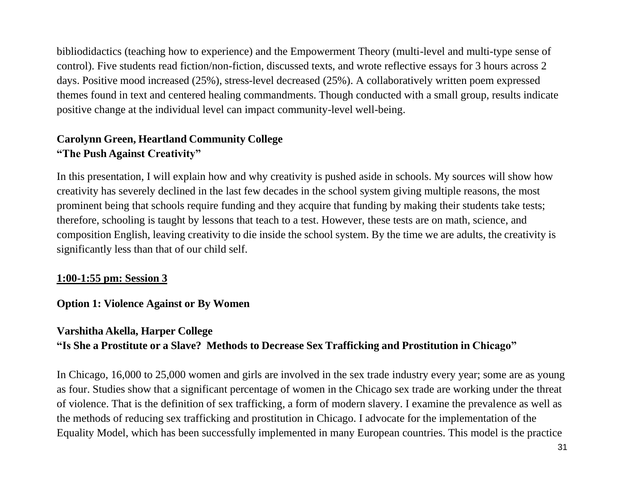bibliodidactics (teaching how to experience) and the Empowerment Theory (multi-level and multi-type sense of control). Five students read fiction/non-fiction, discussed texts, and wrote reflective essays for 3 hours across 2 days. Positive mood increased (25%), stress-level decreased (25%). A collaboratively written poem expressed themes found in text and centered healing commandments. Though conducted with a small group, results indicate positive change at the individual level can impact community-level well-being.

### **Carolynn Green, Heartland Community College "The Push Against Creativity"**

In this presentation, I will explain how and why creativity is pushed aside in schools. My sources will show how creativity has severely declined in the last few decades in the school system giving multiple reasons, the most prominent being that schools require funding and they acquire that funding by making their students take tests; therefore, schooling is taught by lessons that teach to a test. However, these tests are on math, science, and composition English, leaving creativity to die inside the school system. By the time we are adults, the creativity is significantly less than that of our child self.

### **1:00-1:55 pm: Session 3**

### **Option 1: Violence Against or By Women**

## **Varshitha Akella, Harper College "Is She a Prostitute or a Slave? Methods to Decrease Sex Trafficking and Prostitution in Chicago"**

In Chicago, 16,000 to 25,000 women and girls are involved in the sex trade industry every year; some are as young as four. Studies show that a significant percentage of women in the Chicago sex trade are working under the threat of violence. That is the definition of sex trafficking, a form of modern slavery. I examine the prevalence as well as the methods of reducing sex trafficking and prostitution in Chicago. I advocate for the implementation of the Equality Model, which has been successfully implemented in many European countries. This model is the practice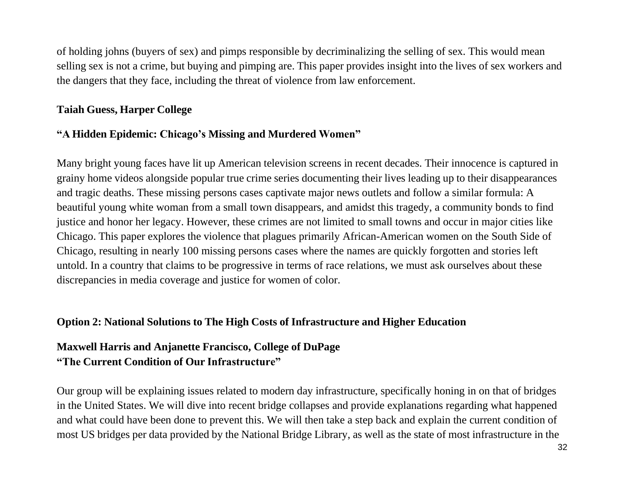of holding johns (buyers of sex) and pimps responsible by decriminalizing the selling of sex. This would mean selling sex is not a crime, but buying and pimping are. This paper provides insight into the lives of sex workers and the dangers that they face, including the threat of violence from law enforcement.

### **Taiah Guess, Harper College**

### **"A Hidden Epidemic: Chicago's Missing and Murdered Women"**

Many bright young faces have lit up American television screens in recent decades. Their innocence is captured in grainy home videos alongside popular true crime series documenting their lives leading up to their disappearances and tragic deaths. These missing persons cases captivate major news outlets and follow a similar formula: A beautiful young white woman from a small town disappears, and amidst this tragedy, a community bonds to find justice and honor her legacy. However, these crimes are not limited to small towns and occur in major cities like Chicago. This paper explores the violence that plagues primarily African-American women on the South Side of Chicago, resulting in nearly 100 missing persons cases where the names are quickly forgotten and stories left untold. In a country that claims to be progressive in terms of race relations, we must ask ourselves about these discrepancies in media coverage and justice for women of color.

#### **Option 2: National Solutions to The High Costs of Infrastructure and Higher Education**

### **Maxwell Harris and Anjanette Francisco, College of DuPage "The Current Condition of Our Infrastructure"**

Our group will be explaining issues related to modern day infrastructure, specifically honing in on that of bridges in the United States. We will dive into recent bridge collapses and provide explanations regarding what happened and what could have been done to prevent this. We will then take a step back and explain the current condition of most US bridges per data provided by the National Bridge Library, as well as the state of most infrastructure in the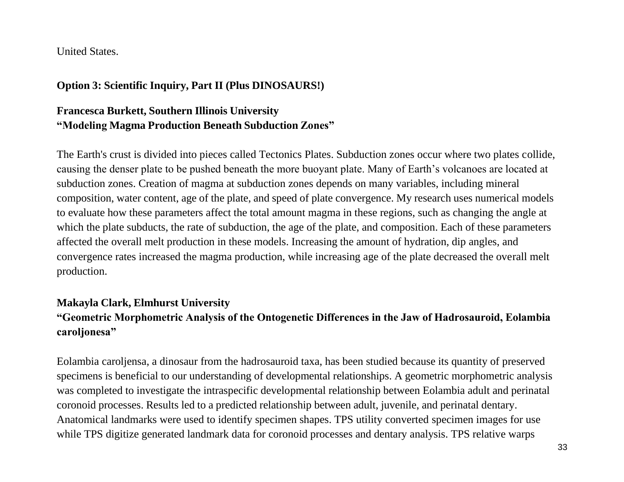United States.

### **Option 3: Scientific Inquiry, Part II (Plus DINOSAURS!)**

### **Francesca Burkett, Southern Illinois University "Modeling Magma Production Beneath Subduction Zones"**

The Earth's crust is divided into pieces called Tectonics Plates. Subduction zones occur where two plates collide, causing the denser plate to be pushed beneath the more buoyant plate. Many of Earth's volcanoes are located at subduction zones. Creation of magma at subduction zones depends on many variables, including mineral composition, water content, age of the plate, and speed of plate convergence. My research uses numerical models to evaluate how these parameters affect the total amount magma in these regions, such as changing the angle at which the plate subducts, the rate of subduction, the age of the plate, and composition. Each of these parameters affected the overall melt production in these models. Increasing the amount of hydration, dip angles, and convergence rates increased the magma production, while increasing age of the plate decreased the overall melt production.

## **Makayla Clark, Elmhurst University "Geometric Morphometric Analysis of the Ontogenetic Differences in the Jaw of Hadrosauroid, Eolambia caroljonesa"**

Eolambia caroljensa, a dinosaur from the hadrosauroid taxa, has been studied because its quantity of preserved specimens is beneficial to our understanding of developmental relationships. A geometric morphometric analysis was completed to investigate the intraspecific developmental relationship between Eolambia adult and perinatal coronoid processes. Results led to a predicted relationship between adult, juvenile, and perinatal dentary. Anatomical landmarks were used to identify specimen shapes. TPS utility converted specimen images for use while TPS digitize generated landmark data for coronoid processes and dentary analysis. TPS relative warps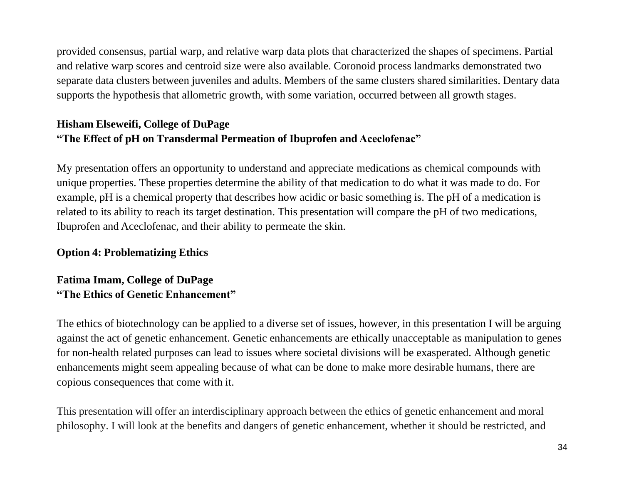provided consensus, partial warp, and relative warp data plots that characterized the shapes of specimens. Partial and relative warp scores and centroid size were also available. Coronoid process landmarks demonstrated two separate data clusters between juveniles and adults. Members of the same clusters shared similarities. Dentary data supports the hypothesis that allometric growth, with some variation, occurred between all growth stages.

## **Hisham Elseweifi, College of DuPage "The Effect of pH on Transdermal Permeation of Ibuprofen and Aceclofenac"**

My presentation offers an opportunity to understand and appreciate medications as chemical compounds with unique properties. These properties determine the ability of that medication to do what it was made to do. For example, pH is a chemical property that describes how acidic or basic something is. The pH of a medication is related to its ability to reach its target destination. This presentation will compare the pH of two medications, Ibuprofen and Aceclofenac, and their ability to permeate the skin.

#### **Option 4: Problematizing Ethics**

### **Fatima Imam, College of DuPage "The Ethics of Genetic Enhancement"**

The ethics of biotechnology can be applied to a diverse set of issues, however, in this presentation I will be arguing against the act of genetic enhancement. Genetic enhancements are ethically unacceptable as manipulation to genes for non-health related purposes can lead to issues where societal divisions will be exasperated. Although genetic enhancements might seem appealing because of what can be done to make more desirable humans, there are copious consequences that come with it.

This presentation will offer an interdisciplinary approach between the ethics of genetic enhancement and moral philosophy. I will look at the benefits and dangers of genetic enhancement, whether it should be restricted, and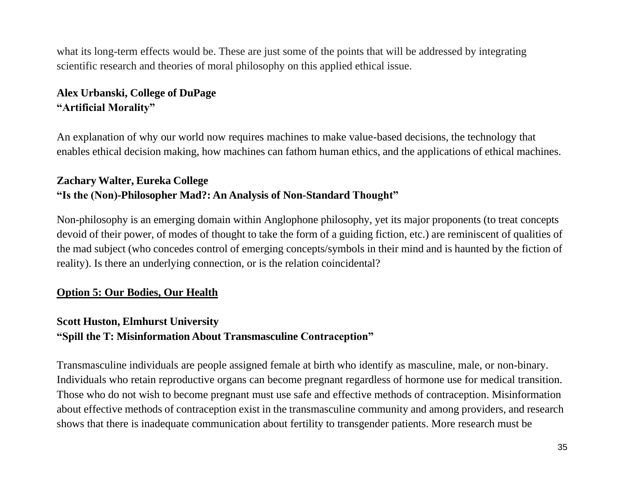what its long-term effects would be. These are just some of the points that will be addressed by integrating scientific research and theories of moral philosophy on this applied ethical issue.

### **Alex Urbanski, College of DuPage "Artificial Morality"**

An explanation of why our world now requires machines to make value-based decisions, the technology that enables ethical decision making, how machines can fathom human ethics, and the applications of ethical machines.

## **Zachary Walter, Eureka College "Is the (Non)-Philosopher Mad?: An Analysis of Non-Standard Thought"**

Non-philosophy is an emerging domain within Anglophone philosophy, yet its major proponents (to treat concepts devoid of their power, of modes of thought to take the form of a guiding fiction, etc.) are reminiscent of qualities of the mad subject (who concedes control of emerging concepts/symbols in their mind and is haunted by the fiction of reality). Is there an underlying connection, or is the relation coincidental?

### **Option 5: Our Bodies, Our Health**

### **Scott Huston, Elmhurst University "Spill the T: Misinformation About Transmasculine Contraception"**

Transmasculine individuals are people assigned female at birth who identify as masculine, male, or non-binary. Individuals who retain reproductive organs can become pregnant regardless of hormone use for medical transition. Those who do not wish to become pregnant must use safe and effective methods of contraception. Misinformation about effective methods of contraception exist in the transmasculine community and among providers, and research shows that there is inadequate communication about fertility to transgender patients. More research must be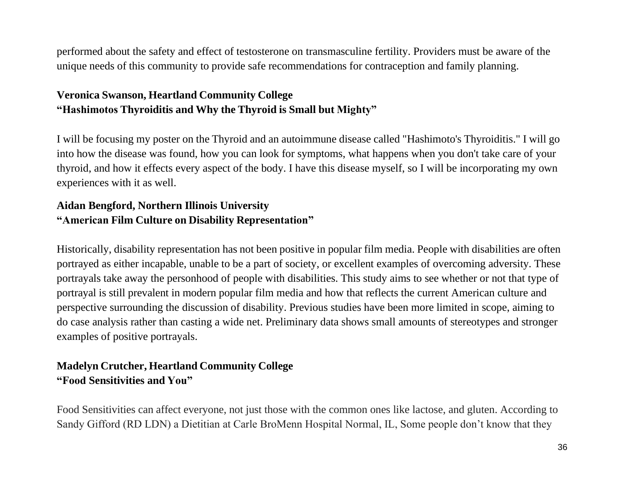performed about the safety and effect of testosterone on transmasculine fertility. Providers must be aware of the unique needs of this community to provide safe recommendations for contraception and family planning.

## **Veronica Swanson, Heartland Community College "Hashimotos Thyroiditis and Why the Thyroid is Small but Mighty"**

I will be focusing my poster on the Thyroid and an autoimmune disease called "Hashimoto's Thyroiditis." I will go into how the disease was found, how you can look for symptoms, what happens when you don't take care of your thyroid, and how it effects every aspect of the body. I have this disease myself, so I will be incorporating my own experiences with it as well.

## **Aidan Bengford, Northern Illinois University "American Film Culture on Disability Representation"**

Historically, disability representation has not been positive in popular film media. People with disabilities are often portrayed as either incapable, unable to be a part of society, or excellent examples of overcoming adversity. These portrayals take away the personhood of people with disabilities. This study aims to see whether or not that type of portrayal is still prevalent in modern popular film media and how that reflects the current American culture and perspective surrounding the discussion of disability. Previous studies have been more limited in scope, aiming to do case analysis rather than casting a wide net. Preliminary data shows small amounts of stereotypes and stronger examples of positive portrayals.

## **Madelyn Crutcher, Heartland Community College "Food Sensitivities and You"**

Food Sensitivities can affect everyone, not just those with the common ones like lactose, and gluten. According to Sandy Gifford (RD LDN) a Dietitian at Carle BroMenn Hospital Normal, IL, Some people don't know that they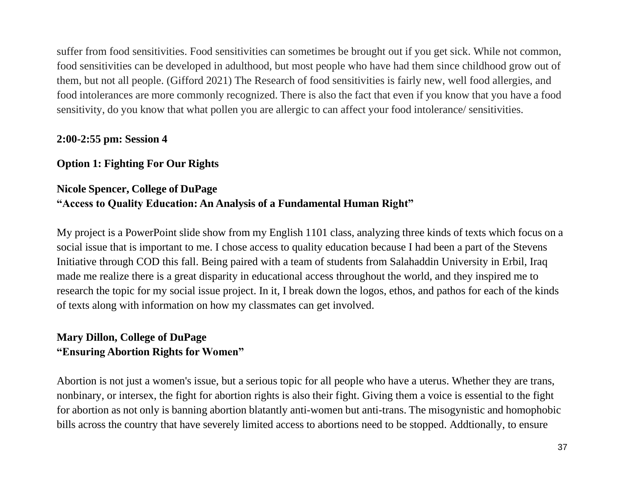suffer from food sensitivities. Food sensitivities can sometimes be brought out if you get sick. While not common, food sensitivities can be developed in adulthood, but most people who have had them since childhood grow out of them, but not all people. (Gifford 2021) The Research of food sensitivities is fairly new, well food allergies, and food intolerances are more commonly recognized. There is also the fact that even if you know that you have a food sensitivity, do you know that what pollen you are allergic to can affect your food intolerance/ sensitivities.

### **2:00-2:55 pm: Session 4**

### **Option 1: Fighting For Our Rights**

## **Nicole Spencer, College of DuPage "Access to Quality Education: An Analysis of a Fundamental Human Right"**

My project is a PowerPoint slide show from my English 1101 class, analyzing three kinds of texts which focus on a social issue that is important to me. I chose access to quality education because I had been a part of the Stevens Initiative through COD this fall. Being paired with a team of students from Salahaddin University in Erbil, Iraq made me realize there is a great disparity in educational access throughout the world, and they inspired me to research the topic for my social issue project. In it, I break down the logos, ethos, and pathos for each of the kinds of texts along with information on how my classmates can get involved.

### **Mary Dillon, College of DuPage "Ensuring Abortion Rights for Women"**

Abortion is not just a women's issue, but a serious topic for all people who have a uterus. Whether they are trans, nonbinary, or intersex, the fight for abortion rights is also their fight. Giving them a voice is essential to the fight for abortion as not only is banning abortion blatantly anti-women but anti-trans. The misogynistic and homophobic bills across the country that have severely limited access to abortions need to be stopped. Addtionally, to ensure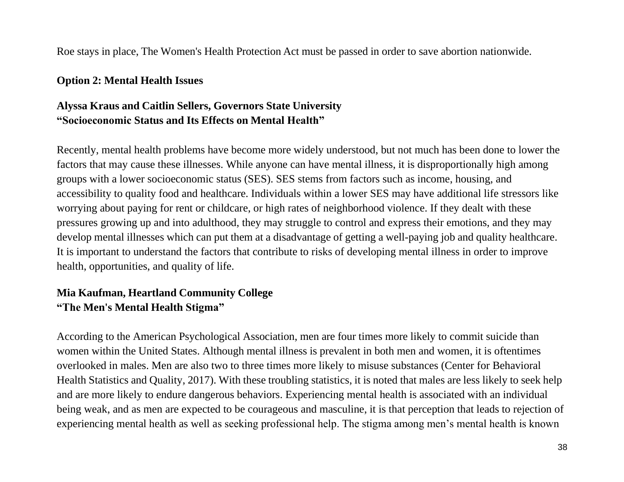Roe stays in place, The Women's Health Protection Act must be passed in order to save abortion nationwide.

#### **Option 2: Mental Health Issues**

### **Alyssa Kraus and Caitlin Sellers, Governors State University "Socioeconomic Status and Its Effects on Mental Health"**

Recently, mental health problems have become more widely understood, but not much has been done to lower the factors that may cause these illnesses. While anyone can have mental illness, it is disproportionally high among groups with a lower socioeconomic status (SES). SES stems from factors such as income, housing, and accessibility to quality food and healthcare. Individuals within a lower SES may have additional life stressors like worrying about paying for rent or childcare, or high rates of neighborhood violence. If they dealt with these pressures growing up and into adulthood, they may struggle to control and express their emotions, and they may develop mental illnesses which can put them at a disadvantage of getting a well-paying job and quality healthcare. It is important to understand the factors that contribute to risks of developing mental illness in order to improve health, opportunities, and quality of life.

### **Mia Kaufman, Heartland Community College "The Men's Mental Health Stigma"**

According to the American Psychological Association, men are four times more likely to commit suicide than women within the United States. Although mental illness is prevalent in both men and women, it is oftentimes overlooked in males. Men are also two to three times more likely to misuse substances (Center for Behavioral Health Statistics and Quality, 2017). With these troubling statistics, it is noted that males are less likely to seek help and are more likely to endure dangerous behaviors. Experiencing mental health is associated with an individual being weak, and as men are expected to be courageous and masculine, it is that perception that leads to rejection of experiencing mental health as well as seeking professional help. The stigma among men's mental health is known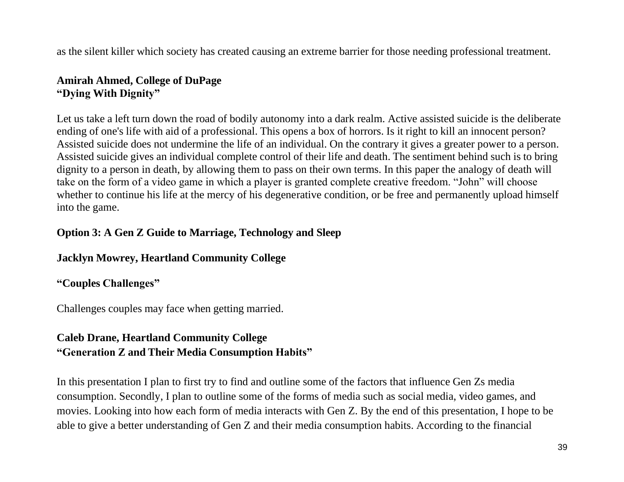as the silent killer which society has created causing an extreme barrier for those needing professional treatment.

### **Amirah Ahmed, College of DuPage "Dying With Dignity"**

Let us take a left turn down the road of bodily autonomy into a dark realm. Active assisted suicide is the deliberate ending of one's life with aid of a professional. This opens a box of horrors. Is it right to kill an innocent person? Assisted suicide does not undermine the life of an individual. On the contrary it gives a greater power to a person. Assisted suicide gives an individual complete control of their life and death. The sentiment behind such is to bring dignity to a person in death, by allowing them to pass on their own terms. In this paper the analogy of death will take on the form of a video game in which a player is granted complete creative freedom. "John" will choose whether to continue his life at the mercy of his degenerative condition, or be free and permanently upload himself into the game.

## **Option 3: A Gen Z Guide to Marriage, Technology and Sleep**

### **Jacklyn Mowrey, Heartland Community College**

### **"Couples Challenges"**

Challenges couples may face when getting married.

## **Caleb Drane, Heartland Community College "Generation Z and Their Media Consumption Habits"**

In this presentation I plan to first try to find and outline some of the factors that influence Gen Zs media consumption. Secondly, I plan to outline some of the forms of media such as social media, video games, and movies. Looking into how each form of media interacts with Gen Z. By the end of this presentation, I hope to be able to give a better understanding of Gen Z and their media consumption habits. According to the financial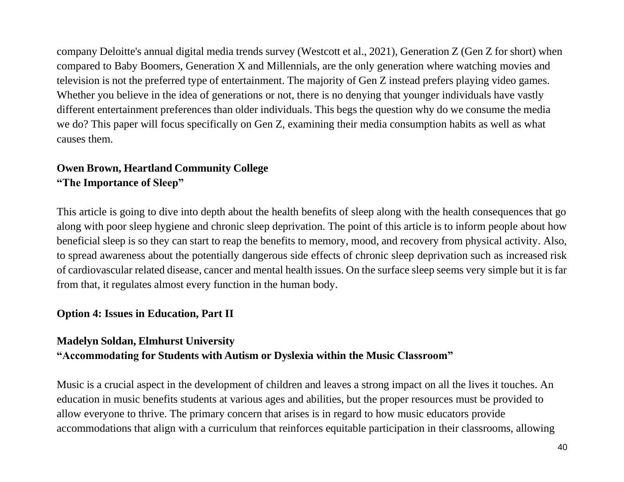company Deloitte's annual digital media trends survey (Westcott et al., 2021), Generation Z (Gen Z for short) when compared to Baby Boomers, Generation X and Millennials, are the only generation where watching movies and television is not the preferred type of entertainment. The majority of Gen Z instead prefers playing video games. Whether you believe in the idea of generations or not, there is no denying that younger individuals have vastly different entertainment preferences than older individuals. This begs the question why do we consume the media we do? This paper will focus specifically on Gen Z, examining their media consumption habits as well as what causes them.

## **Owen Brown, Heartland Community College "The Importance of Sleep"**

This article is going to dive into depth about the health benefits of sleep along with the health consequences that go along with poor sleep hygiene and chronic sleep deprivation. The point of this article is to inform people about how beneficial sleep is so they can start to reap the benefits to memory, mood, and recovery from physical activity. Also, to spread awareness about the potentially dangerous side effects of chronic sleep deprivation such as increased risk of cardiovascular related disease, cancer and mental health issues. On the surface sleep seems very simple but it is far from that, it regulates almost every function in the human body.

### **Option 4: Issues in Education, Part II**

### **Madelyn Soldan, Elmhurst University**

## **"Accommodating for Students with Autism or Dyslexia within the Music Classroom"**

Music is a crucial aspect in the development of children and leaves a strong impact on all the lives it touches. An education in music benefits students at various ages and abilities, but the proper resources must be provided to allow everyone to thrive. The primary concern that arises is in regard to how music educators provide accommodations that align with a curriculum that reinforces equitable participation in their classrooms, allowing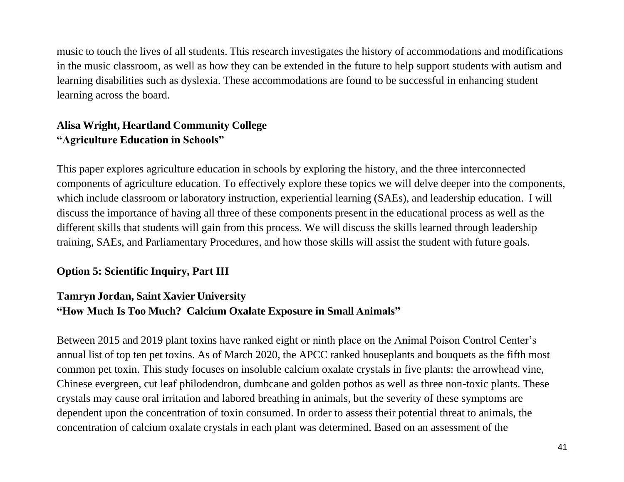music to touch the lives of all students. This research investigates the history of accommodations and modifications in the music classroom, as well as how they can be extended in the future to help support students with autism and learning disabilities such as dyslexia. These accommodations are found to be successful in enhancing student learning across the board.

## **Alisa Wright, Heartland Community College "Agriculture Education in Schools"**

This paper explores agriculture education in schools by exploring the history, and the three interconnected components of agriculture education. To effectively explore these topics we will delve deeper into the components, which include classroom or laboratory instruction, experiential learning (SAEs), and leadership education. I will discuss the importance of having all three of these components present in the educational process as well as the different skills that students will gain from this process. We will discuss the skills learned through leadership training, SAEs, and Parliamentary Procedures, and how those skills will assist the student with future goals.

### **Option 5: Scientific Inquiry, Part III**

### **Tamryn Jordan, Saint Xavier University "How Much Is Too Much? Calcium Oxalate Exposure in Small Animals"**

Between 2015 and 2019 plant toxins have ranked eight or ninth place on the Animal Poison Control Center's annual list of top ten pet toxins. As of March 2020, the APCC ranked houseplants and bouquets as the fifth most common pet toxin. This study focuses on insoluble calcium oxalate crystals in five plants: the arrowhead vine, Chinese evergreen, cut leaf philodendron, dumbcane and golden pothos as well as three non-toxic plants. These crystals may cause oral irritation and labored breathing in animals, but the severity of these symptoms are dependent upon the concentration of toxin consumed. In order to assess their potential threat to animals, the concentration of calcium oxalate crystals in each plant was determined. Based on an assessment of the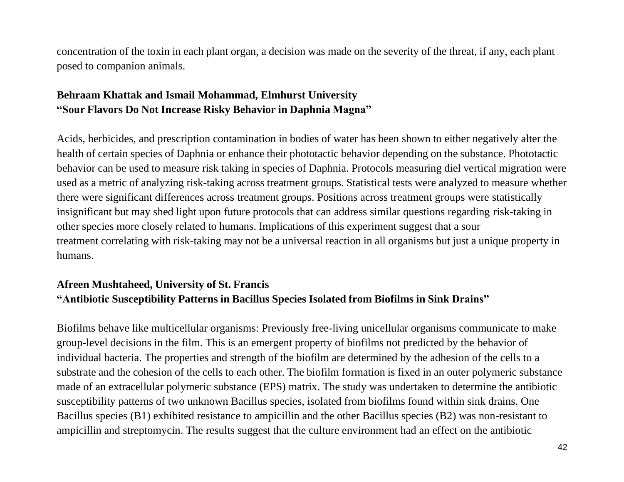concentration of the toxin in each plant organ, a decision was made on the severity of the threat, if any, each plant posed to companion animals.

## **Behraam Khattak and Ismail Mohammad, Elmhurst University "Sour Flavors Do Not Increase Risky Behavior in Daphnia Magna"**

Acids, herbicides, and prescription contamination in bodies of water has been shown to either negatively alter the health of certain species of Daphnia or enhance their phototactic behavior depending on the substance. Phototactic behavior can be used to measure risk taking in species of Daphnia. Protocols measuring diel vertical migration were used as a metric of analyzing risk-taking across treatment groups. Statistical tests were analyzed to measure whether there were significant differences across treatment groups. Positions across treatment groups were statistically insignificant but may shed light upon future protocols that can address similar questions regarding risk-taking in other species more closely related to humans. Implications of this experiment suggest that a sour treatment correlating with risk-taking may not be a universal reaction in all organisms but just a unique property in humans.

## **Afreen Mushtaheed, University of St. Francis "Antibiotic Susceptibility Patterns in Bacillus Species Isolated from Biofilms in Sink Drains"**

Biofilms behave like multicellular organisms: Previously free-living unicellular organisms communicate to make group-level decisions in the film. This is an emergent property of biofilms not predicted by the behavior of individual bacteria. The properties and strength of the biofilm are determined by the adhesion of the cells to a substrate and the cohesion of the cells to each other. The biofilm formation is fixed in an outer polymeric substance made of an extracellular polymeric substance (EPS) matrix. The study was undertaken to determine the antibiotic susceptibility patterns of two unknown Bacillus species, isolated from biofilms found within sink drains. One Bacillus species (B1) exhibited resistance to ampicillin and the other Bacillus species (B2) was non-resistant to ampicillin and streptomycin. The results suggest that the culture environment had an effect on the antibiotic